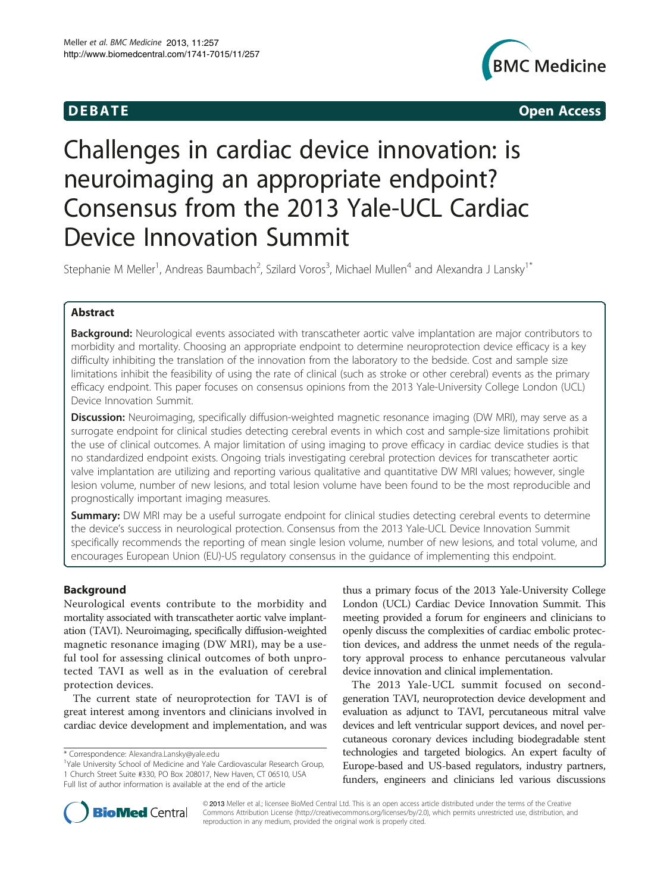

**DEBATE CONSIDERENT CONSIDERED ACCESS** 

# Challenges in cardiac device innovation: is neuroimaging an appropriate endpoint? Consensus from the 2013 Yale-UCL Cardiac Device Innovation Summit

Stephanie M Meller<sup>1</sup>, Andreas Baumbach<sup>2</sup>, Szilard Voros<sup>3</sup>, Michael Mullen<sup>4</sup> and Alexandra J Lansky<sup>1\*</sup>

# Abstract

Background: Neurological events associated with transcatheter aortic valve implantation are major contributors to morbidity and mortality. Choosing an appropriate endpoint to determine neuroprotection device efficacy is a key difficulty inhibiting the translation of the innovation from the laboratory to the bedside. Cost and sample size limitations inhibit the feasibility of using the rate of clinical (such as stroke or other cerebral) events as the primary efficacy endpoint. This paper focuses on consensus opinions from the 2013 Yale-University College London (UCL) Device Innovation Summit.

Discussion: Neuroimaging, specifically diffusion-weighted magnetic resonance imaging (DW MRI), may serve as a surrogate endpoint for clinical studies detecting cerebral events in which cost and sample-size limitations prohibit the use of clinical outcomes. A major limitation of using imaging to prove efficacy in cardiac device studies is that no standardized endpoint exists. Ongoing trials investigating cerebral protection devices for transcatheter aortic valve implantation are utilizing and reporting various qualitative and quantitative DW MRI values; however, single lesion volume, number of new lesions, and total lesion volume have been found to be the most reproducible and prognostically important imaging measures.

**Summary:** DW MRI may be a useful surrogate endpoint for clinical studies detecting cerebral events to determine the device's success in neurological protection. Consensus from the 2013 Yale-UCL Device Innovation Summit specifically recommends the reporting of mean single lesion volume, number of new lesions, and total volume, and encourages European Union (EU)-US regulatory consensus in the guidance of implementing this endpoint.

# Background

Neurological events contribute to the morbidity and mortality associated with transcatheter aortic valve implantation (TAVI). Neuroimaging, specifically diffusion-weighted magnetic resonance imaging (DW MRI), may be a useful tool for assessing clinical outcomes of both unprotected TAVI as well as in the evaluation of cerebral protection devices.

The current state of neuroprotection for TAVI is of great interest among inventors and clinicians involved in cardiac device development and implementation, and was

thus a primary focus of the 2013 Yale-University College London (UCL) Cardiac Device Innovation Summit. This meeting provided a forum for engineers and clinicians to openly discuss the complexities of cardiac embolic protection devices, and address the unmet needs of the regulatory approval process to enhance percutaneous valvular device innovation and clinical implementation.

The 2013 Yale-UCL summit focused on secondgeneration TAVI, neuroprotection device development and evaluation as adjunct to TAVI, percutaneous mitral valve devices and left ventricular support devices, and novel percutaneous coronary devices including biodegradable stent technologies and targeted biologics. An expert faculty of Europe-based and US-based regulators, industry partners, funders, engineers and clinicians led various discussions



© 2013 Meller et al.; licensee BioMed Central Ltd. This is an open access article distributed under the terms of the Creative Commons Attribution License [\(http://creativecommons.org/licenses/by/2.0\)](http://creativecommons.org/licenses/by/2.0), which permits unrestricted use, distribution, and reproduction in any medium, provided the original work is properly cited.

<sup>\*</sup> Correspondence: [Alexandra.Lansky@yale.edu](mailto:Alexandra.Lansky@yale.edu) <sup>1</sup>

<sup>&</sup>lt;sup>1</sup>Yale University School of Medicine and Yale Cardiovascular Research Group, 1 Church Street Suite #330, PO Box 208017, New Haven, CT 06510, USA Full list of author information is available at the end of the article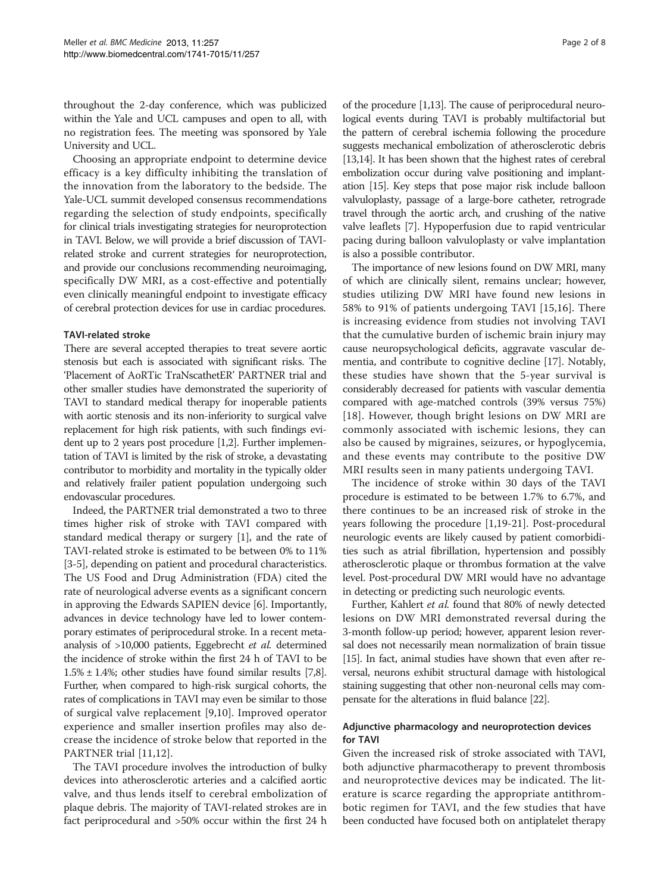throughout the 2-day conference, which was publicized within the Yale and UCL campuses and open to all, with no registration fees. The meeting was sponsored by Yale University and UCL.

Choosing an appropriate endpoint to determine device efficacy is a key difficulty inhibiting the translation of the innovation from the laboratory to the bedside. The Yale-UCL summit developed consensus recommendations regarding the selection of study endpoints, specifically for clinical trials investigating strategies for neuroprotection in TAVI. Below, we will provide a brief discussion of TAVIrelated stroke and current strategies for neuroprotection, and provide our conclusions recommending neuroimaging, specifically DW MRI, as a cost-effective and potentially even clinically meaningful endpoint to investigate efficacy of cerebral protection devices for use in cardiac procedures.

# TAVI-related stroke

There are several accepted therapies to treat severe aortic stenosis but each is associated with significant risks. The 'Placement of AoRTic TraNscathetER' PARTNER trial and other smaller studies have demonstrated the superiority of TAVI to standard medical therapy for inoperable patients with aortic stenosis and its non-inferiority to surgical valve replacement for high risk patients, with such findings evident up to 2 years post procedure [\[1,2](#page-6-0)]. Further implementation of TAVI is limited by the risk of stroke, a devastating contributor to morbidity and mortality in the typically older and relatively frailer patient population undergoing such endovascular procedures.

Indeed, the PARTNER trial demonstrated a two to three times higher risk of stroke with TAVI compared with standard medical therapy or surgery [[1\]](#page-6-0), and the rate of TAVI-related stroke is estimated to be between 0% to 11% [[3-5\]](#page-6-0), depending on patient and procedural characteristics. The US Food and Drug Administration (FDA) cited the rate of neurological adverse events as a significant concern in approving the Edwards SAPIEN device [\[6](#page-6-0)]. Importantly, advances in device technology have led to lower contemporary estimates of periprocedural stroke. In a recent metaanalysis of >10,000 patients, Eggebrecht et al. determined the incidence of stroke within the first 24 h of TAVI to be  $1.5\% \pm 1.4\%$ ; other studies have found similar results [\[7,8](#page-6-0)]. Further, when compared to high-risk surgical cohorts, the rates of complications in TAVI may even be similar to those of surgical valve replacement [\[9](#page-6-0),[10\]](#page-6-0). Improved operator experience and smaller insertion profiles may also decrease the incidence of stroke below that reported in the PARTNER trial [[11,12](#page-6-0)].

The TAVI procedure involves the introduction of bulky devices into atherosclerotic arteries and a calcified aortic valve, and thus lends itself to cerebral embolization of plaque debris. The majority of TAVI-related strokes are in fact periprocedural and >50% occur within the first 24 h

of the procedure [[1,13\]](#page-6-0). The cause of periprocedural neurological events during TAVI is probably multifactorial but the pattern of cerebral ischemia following the procedure suggests mechanical embolization of atherosclerotic debris [[13,14\]](#page-6-0). It has been shown that the highest rates of cerebral embolization occur during valve positioning and implantation [\[15\]](#page-6-0). Key steps that pose major risk include balloon

valvuloplasty, passage of a large-bore catheter, retrograde travel through the aortic arch, and crushing of the native valve leaflets [\[7\]](#page-6-0). Hypoperfusion due to rapid ventricular pacing during balloon valvuloplasty or valve implantation is also a possible contributor. The importance of new lesions found on DW MRI, many

of which are clinically silent, remains unclear; however, studies utilizing DW MRI have found new lesions in 58% to 91% of patients undergoing TAVI [\[15,16](#page-6-0)]. There is increasing evidence from studies not involving TAVI that the cumulative burden of ischemic brain injury may cause neuropsychological deficits, aggravate vascular dementia, and contribute to cognitive decline [[17](#page-6-0)]. Notably, these studies have shown that the 5-year survival is considerably decreased for patients with vascular dementia compared with age-matched controls (39% versus 75%) [[18](#page-6-0)]. However, though bright lesions on DW MRI are commonly associated with ischemic lesions, they can also be caused by migraines, seizures, or hypoglycemia, and these events may contribute to the positive DW MRI results seen in many patients undergoing TAVI.

The incidence of stroke within 30 days of the TAVI procedure is estimated to be between 1.7% to 6.7%, and there continues to be an increased risk of stroke in the years following the procedure [[1](#page-6-0),[19-21\]](#page-6-0). Post-procedural neurologic events are likely caused by patient comorbidities such as atrial fibrillation, hypertension and possibly atherosclerotic plaque or thrombus formation at the valve level. Post-procedural DW MRI would have no advantage in detecting or predicting such neurologic events.

Further, Kahlert et al. found that 80% of newly detected lesions on DW MRI demonstrated reversal during the 3-month follow-up period; however, apparent lesion reversal does not necessarily mean normalization of brain tissue [[15](#page-6-0)]. In fact, animal studies have shown that even after reversal, neurons exhibit structural damage with histological staining suggesting that other non-neuronal cells may compensate for the alterations in fluid balance [\[22\]](#page-6-0).

# Adjunctive pharmacology and neuroprotection devices for TAVI

Given the increased risk of stroke associated with TAVI, both adjunctive pharmacotherapy to prevent thrombosis and neuroprotective devices may be indicated. The literature is scarce regarding the appropriate antithrombotic regimen for TAVI, and the few studies that have been conducted have focused both on antiplatelet therapy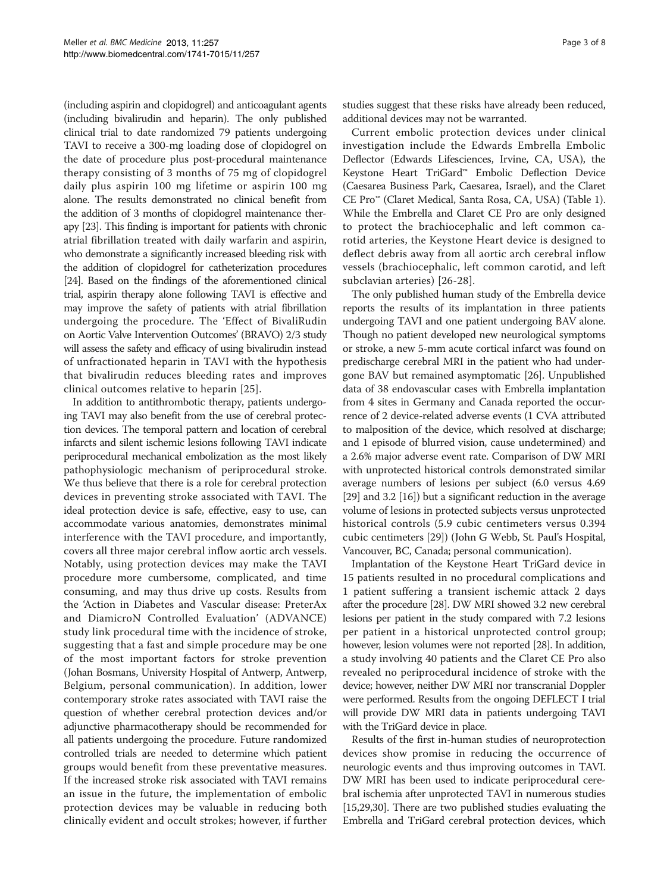(including aspirin and clopidogrel) and anticoagulant agents (including bivalirudin and heparin). The only published clinical trial to date randomized 79 patients undergoing TAVI to receive a 300-mg loading dose of clopidogrel on the date of procedure plus post-procedural maintenance therapy consisting of 3 months of 75 mg of clopidogrel daily plus aspirin 100 mg lifetime or aspirin 100 mg alone. The results demonstrated no clinical benefit from the addition of 3 months of clopidogrel maintenance therapy [[23](#page-6-0)]. This finding is important for patients with chronic atrial fibrillation treated with daily warfarin and aspirin, who demonstrate a significantly increased bleeding risk with the addition of clopidogrel for catheterization procedures [[24\]](#page-6-0). Based on the findings of the aforementioned clinical trial, aspirin therapy alone following TAVI is effective and may improve the safety of patients with atrial fibrillation undergoing the procedure. The 'Effect of BivaliRudin on Aortic Valve Intervention Outcomes' (BRAVO) 2/3 study will assess the safety and efficacy of using bivalirudin instead of unfractionated heparin in TAVI with the hypothesis that bivalirudin reduces bleeding rates and improves clinical outcomes relative to heparin [[25\]](#page-6-0).

In addition to antithrombotic therapy, patients undergoing TAVI may also benefit from the use of cerebral protection devices. The temporal pattern and location of cerebral infarcts and silent ischemic lesions following TAVI indicate periprocedural mechanical embolization as the most likely pathophysiologic mechanism of periprocedural stroke. We thus believe that there is a role for cerebral protection devices in preventing stroke associated with TAVI. The ideal protection device is safe, effective, easy to use, can accommodate various anatomies, demonstrates minimal interference with the TAVI procedure, and importantly, covers all three major cerebral inflow aortic arch vessels. Notably, using protection devices may make the TAVI procedure more cumbersome, complicated, and time consuming, and may thus drive up costs. Results from the 'Action in Diabetes and Vascular disease: PreterAx and DiamicroN Controlled Evaluation' (ADVANCE) study link procedural time with the incidence of stroke, suggesting that a fast and simple procedure may be one of the most important factors for stroke prevention (Johan Bosmans, University Hospital of Antwerp, Antwerp, Belgium, personal communication). In addition, lower contemporary stroke rates associated with TAVI raise the question of whether cerebral protection devices and/or adjunctive pharmacotherapy should be recommended for all patients undergoing the procedure. Future randomized controlled trials are needed to determine which patient groups would benefit from these preventative measures. If the increased stroke risk associated with TAVI remains an issue in the future, the implementation of embolic protection devices may be valuable in reducing both clinically evident and occult strokes; however, if further

studies suggest that these risks have already been reduced, additional devices may not be warranted.

Current embolic protection devices under clinical investigation include the Edwards Embrella Embolic Deflector (Edwards Lifesciences, Irvine, CA, USA), the Keystone Heart TriGard™ Embolic Deflection Device (Caesarea Business Park, Caesarea, Israel), and the Claret CE Pro™ (Claret Medical, Santa Rosa, CA, USA) (Table [1](#page-3-0)). While the Embrella and Claret CE Pro are only designed to protect the brachiocephalic and left common carotid arteries, the Keystone Heart device is designed to deflect debris away from all aortic arch cerebral inflow vessels (brachiocephalic, left common carotid, and left subclavian arteries) [[26-28\]](#page-6-0).

The only published human study of the Embrella device reports the results of its implantation in three patients undergoing TAVI and one patient undergoing BAV alone. Though no patient developed new neurological symptoms or stroke, a new 5-mm acute cortical infarct was found on predischarge cerebral MRI in the patient who had undergone BAV but remained asymptomatic [\[26\]](#page-6-0). Unpublished data of 38 endovascular cases with Embrella implantation from 4 sites in Germany and Canada reported the occurrence of 2 device-related adverse events (1 CVA attributed to malposition of the device, which resolved at discharge; and 1 episode of blurred vision, cause undetermined) and a 2.6% major adverse event rate. Comparison of DW MRI with unprotected historical controls demonstrated similar average numbers of lesions per subject (6.0 versus 4.69 [[29](#page-6-0)] and 3.2 [[16](#page-6-0)]) but a significant reduction in the average volume of lesions in protected subjects versus unprotected historical controls (5.9 cubic centimeters versus 0.394 cubic centimeters [[29](#page-6-0)]) (John G Webb, St. Paul's Hospital, Vancouver, BC, Canada; personal communication).

Implantation of the Keystone Heart TriGard device in 15 patients resulted in no procedural complications and 1 patient suffering a transient ischemic attack 2 days after the procedure [\[28\]](#page-6-0). DW MRI showed 3.2 new cerebral lesions per patient in the study compared with 7.2 lesions per patient in a historical unprotected control group; however, lesion volumes were not reported [\[28](#page-6-0)]. In addition, a study involving 40 patients and the Claret CE Pro also revealed no periprocedural incidence of stroke with the device; however, neither DW MRI nor transcranial Doppler were performed. Results from the ongoing DEFLECT I trial will provide DW MRI data in patients undergoing TAVI with the TriGard device in place.

Results of the first in-human studies of neuroprotection devices show promise in reducing the occurrence of neurologic events and thus improving outcomes in TAVI. DW MRI has been used to indicate periprocedural cerebral ischemia after unprotected TAVI in numerous studies [[15](#page-6-0),[29](#page-6-0)[,30\]](#page-7-0). There are two published studies evaluating the Embrella and TriGard cerebral protection devices, which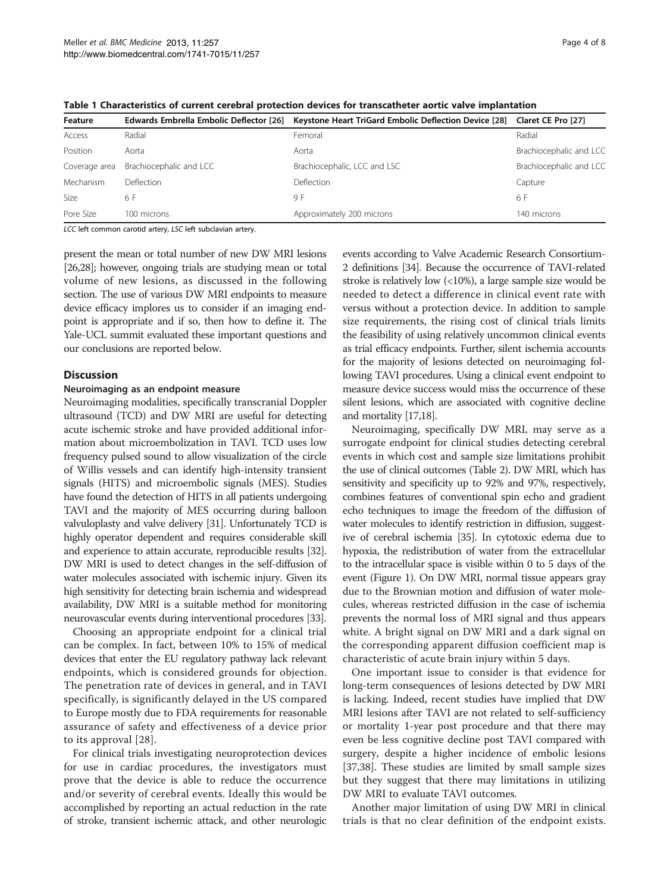| Feature       | <b>Edwards Embrella Embolic Deflector [26]</b> | Keystone Heart TriGard Embolic Deflection Device [28] Claret CE Pro [27] |                         |
|---------------|------------------------------------------------|--------------------------------------------------------------------------|-------------------------|
| Access        | Radial                                         | Femoral                                                                  | Radial                  |
| Position      | Aorta                                          | Aorta                                                                    | Brachiocephalic and LCC |
| Coverage area | Brachiocephalic and LCC                        | Brachiocephalic, LCC and LSC                                             | Brachiocephalic and LCC |
| Mechanism     | Deflection                                     | <b>Deflection</b>                                                        | Capture                 |
| Size          | 6 F                                            | 9 F                                                                      | 6 F                     |
| Pore Size     | 100 microns                                    | Approximately 200 microns                                                | 140 microns             |

<span id="page-3-0"></span>Table 1 Characteristics of current cerebral protection devices for transcatheter aortic valve implantation

LCC left common carotid artery, LSC left subclavian artery.

present the mean or total number of new DW MRI lesions [[26,28\]](#page-6-0); however, ongoing trials are studying mean or total volume of new lesions, as discussed in the following section. The use of various DW MRI endpoints to measure device efficacy implores us to consider if an imaging endpoint is appropriate and if so, then how to define it. The Yale-UCL summit evaluated these important questions and our conclusions are reported below.

# **Discussion**

### Neuroimaging as an endpoint measure

Neuroimaging modalities, specifically transcranial Doppler ultrasound (TCD) and DW MRI are useful for detecting acute ischemic stroke and have provided additional information about microembolization in TAVI. TCD uses low frequency pulsed sound to allow visualization of the circle of Willis vessels and can identify high-intensity transient signals (HITS) and microembolic signals (MES). Studies have found the detection of HITS in all patients undergoing TAVI and the majority of MES occurring during balloon valvuloplasty and valve delivery [\[31\]](#page-7-0). Unfortunately TCD is highly operator dependent and requires considerable skill and experience to attain accurate, reproducible results [\[32](#page-7-0)]. DW MRI is used to detect changes in the self-diffusion of water molecules associated with ischemic injury. Given its high sensitivity for detecting brain ischemia and widespread availability, DW MRI is a suitable method for monitoring neurovascular events during interventional procedures [[33](#page-7-0)].

Choosing an appropriate endpoint for a clinical trial can be complex. In fact, between 10% to 15% of medical devices that enter the EU regulatory pathway lack relevant endpoints, which is considered grounds for objection. The penetration rate of devices in general, and in TAVI specifically, is significantly delayed in the US compared to Europe mostly due to FDA requirements for reasonable assurance of safety and effectiveness of a device prior to its approval [\[28\]](#page-6-0).

For clinical trials investigating neuroprotection devices for use in cardiac procedures, the investigators must prove that the device is able to reduce the occurrence and/or severity of cerebral events. Ideally this would be accomplished by reporting an actual reduction in the rate of stroke, transient ischemic attack, and other neurologic

events according to Valve Academic Research Consortium-2 definitions [\[34\]](#page-7-0). Because the occurrence of TAVI-related stroke is relatively low (<10%), a large sample size would be needed to detect a difference in clinical event rate with versus without a protection device. In addition to sample size requirements, the rising cost of clinical trials limits the feasibility of using relatively uncommon clinical events as trial efficacy endpoints. Further, silent ischemia accounts for the majority of lesions detected on neuroimaging following TAVI procedures. Using a clinical event endpoint to measure device success would miss the occurrence of these silent lesions, which are associated with cognitive decline and mortality [\[17,18\]](#page-6-0).

Neuroimaging, specifically DW MRI, may serve as a surrogate endpoint for clinical studies detecting cerebral events in which cost and sample size limitations prohibit the use of clinical outcomes (Table [2\)](#page-4-0). DW MRI, which has sensitivity and specificity up to 92% and 97%, respectively, combines features of conventional spin echo and gradient echo techniques to image the freedom of the diffusion of water molecules to identify restriction in diffusion, suggestive of cerebral ischemia [[35](#page-7-0)]. In cytotoxic edema due to hypoxia, the redistribution of water from the extracellular to the intracellular space is visible within 0 to 5 days of the event (Figure [1\)](#page-4-0). On DW MRI, normal tissue appears gray due to the Brownian motion and diffusion of water molecules, whereas restricted diffusion in the case of ischemia prevents the normal loss of MRI signal and thus appears white. A bright signal on DW MRI and a dark signal on the corresponding apparent diffusion coefficient map is characteristic of acute brain injury within 5 days.

One important issue to consider is that evidence for long-term consequences of lesions detected by DW MRI is lacking. Indeed, recent studies have implied that DW MRI lesions after TAVI are not related to self-sufficiency or mortality 1-year post procedure and that there may even be less cognitive decline post TAVI compared with surgery, despite a higher incidence of embolic lesions [[37,38\]](#page-7-0). These studies are limited by small sample sizes but they suggest that there may limitations in utilizing DW MRI to evaluate TAVI outcomes.

Another major limitation of using DW MRI in clinical trials is that no clear definition of the endpoint exists.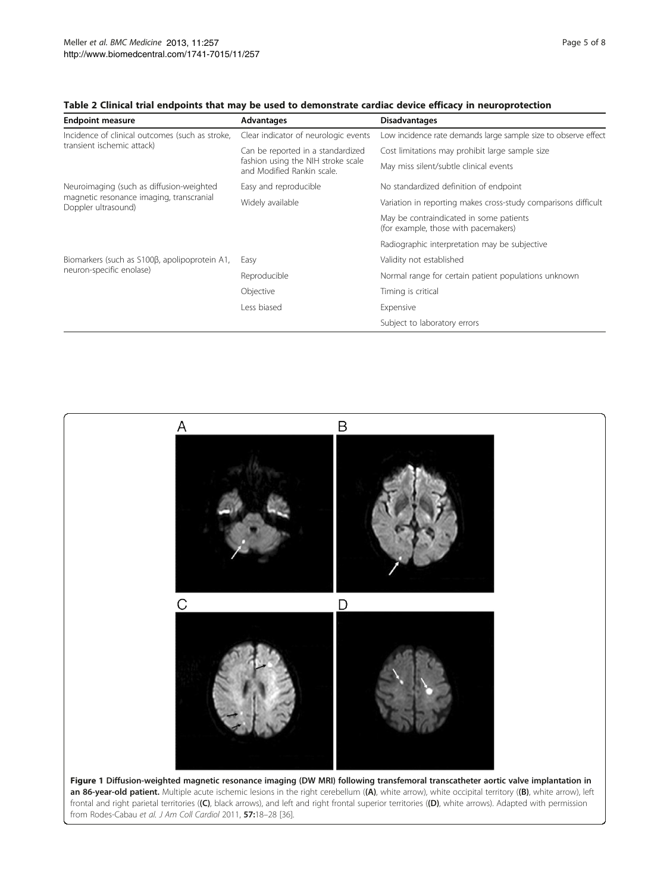| <b>Endpoint measure</b>                                         | Advantages                                                                                            | <b>Disadvantages</b>                                                            |
|-----------------------------------------------------------------|-------------------------------------------------------------------------------------------------------|---------------------------------------------------------------------------------|
| Incidence of clinical outcomes (such as stroke,                 | Clear indicator of neurologic events                                                                  | Low incidence rate demands large sample size to observe effect                  |
| transient ischemic attack)                                      | Can be reported in a standardized<br>fashion using the NIH stroke scale<br>and Modified Rankin scale. | Cost limitations may prohibit large sample size                                 |
|                                                                 |                                                                                                       | May miss silent/subtle clinical events                                          |
| Neuroimaging (such as diffusion-weighted                        | Easy and reproducible                                                                                 | No standardized definition of endpoint                                          |
| magnetic resonance imaging, transcranial<br>Doppler ultrasound) | Widely available                                                                                      | Variation in reporting makes cross-study comparisons difficult                  |
|                                                                 |                                                                                                       | May be contraindicated in some patients<br>(for example, those with pacemakers) |
|                                                                 |                                                                                                       | Radiographic interpretation may be subjective                                   |
| Biomarkers (such as S100ß, apolipoprotein A1,                   | Easy                                                                                                  | Validity not established                                                        |
| neuron-specific enolase)                                        | Reproducible                                                                                          | Normal range for certain patient populations unknown                            |
|                                                                 | Objective                                                                                             | Timing is critical                                                              |
|                                                                 | Less biased                                                                                           | Expensive                                                                       |
|                                                                 |                                                                                                       | Subject to laboratory errors                                                    |

# <span id="page-4-0"></span>Table 2 Clinical trial endpoints that may be used to demonstrate cardiac device efficacy in neuroprotection

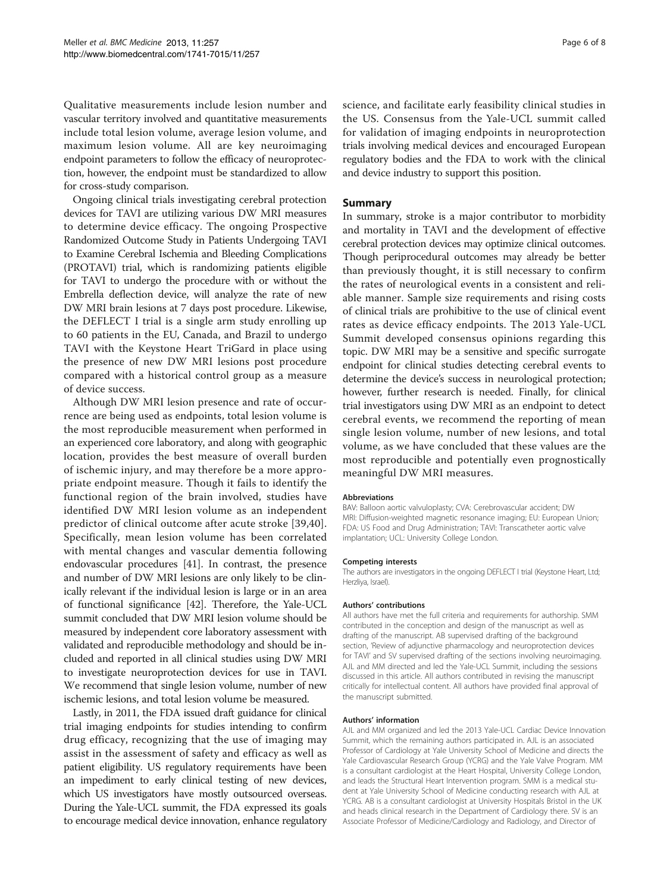Qualitative measurements include lesion number and vascular territory involved and quantitative measurements include total lesion volume, average lesion volume, and maximum lesion volume. All are key neuroimaging endpoint parameters to follow the efficacy of neuroprotection, however, the endpoint must be standardized to allow for cross-study comparison.

Ongoing clinical trials investigating cerebral protection devices for TAVI are utilizing various DW MRI measures to determine device efficacy. The ongoing Prospective Randomized Outcome Study in Patients Undergoing TAVI to Examine Cerebral Ischemia and Bleeding Complications (PROTAVI) trial, which is randomizing patients eligible for TAVI to undergo the procedure with or without the Embrella deflection device, will analyze the rate of new DW MRI brain lesions at 7 days post procedure. Likewise, the DEFLECT I trial is a single arm study enrolling up to 60 patients in the EU, Canada, and Brazil to undergo TAVI with the Keystone Heart TriGard in place using the presence of new DW MRI lesions post procedure compared with a historical control group as a measure of device success.

Although DW MRI lesion presence and rate of occurrence are being used as endpoints, total lesion volume is the most reproducible measurement when performed in an experienced core laboratory, and along with geographic location, provides the best measure of overall burden of ischemic injury, and may therefore be a more appropriate endpoint measure. Though it fails to identify the functional region of the brain involved, studies have identified DW MRI lesion volume as an independent predictor of clinical outcome after acute stroke [\[39,40](#page-7-0)]. Specifically, mean lesion volume has been correlated with mental changes and vascular dementia following endovascular procedures [[41](#page-7-0)]. In contrast, the presence and number of DW MRI lesions are only likely to be clinically relevant if the individual lesion is large or in an area of functional significance [[42](#page-7-0)]. Therefore, the Yale-UCL summit concluded that DW MRI lesion volume should be measured by independent core laboratory assessment with validated and reproducible methodology and should be included and reported in all clinical studies using DW MRI to investigate neuroprotection devices for use in TAVI. We recommend that single lesion volume, number of new ischemic lesions, and total lesion volume be measured.

Lastly, in 2011, the FDA issued draft guidance for clinical trial imaging endpoints for studies intending to confirm drug efficacy, recognizing that the use of imaging may assist in the assessment of safety and efficacy as well as patient eligibility. US regulatory requirements have been an impediment to early clinical testing of new devices, which US investigators have mostly outsourced overseas. During the Yale-UCL summit, the FDA expressed its goals to encourage medical device innovation, enhance regulatory science, and facilitate early feasibility clinical studies in the US. Consensus from the Yale-UCL summit called for validation of imaging endpoints in neuroprotection trials involving medical devices and encouraged European regulatory bodies and the FDA to work with the clinical and device industry to support this position.

# Summary

In summary, stroke is a major contributor to morbidity and mortality in TAVI and the development of effective cerebral protection devices may optimize clinical outcomes. Though periprocedural outcomes may already be better than previously thought, it is still necessary to confirm the rates of neurological events in a consistent and reliable manner. Sample size requirements and rising costs of clinical trials are prohibitive to the use of clinical event rates as device efficacy endpoints. The 2013 Yale-UCL Summit developed consensus opinions regarding this topic. DW MRI may be a sensitive and specific surrogate endpoint for clinical studies detecting cerebral events to determine the device's success in neurological protection; however, further research is needed. Finally, for clinical trial investigators using DW MRI as an endpoint to detect cerebral events, we recommend the reporting of mean single lesion volume, number of new lesions, and total volume, as we have concluded that these values are the most reproducible and potentially even prognostically meaningful DW MRI measures.

### Abbreviations

BAV: Balloon aortic valvuloplasty; CVA: Cerebrovascular accident; DW MRI: Diffusion-weighted magnetic resonance imaging; EU: European Union; FDA: US Food and Drug Administration; TAVI: Transcatheter aortic valve implantation; UCL: University College London.

#### Competing interests

The authors are investigators in the ongoing DEFLECT I trial (Keystone Heart, Ltd; Herzliya, Israel).

#### Authors' contributions

All authors have met the full criteria and requirements for authorship. SMM contributed in the conception and design of the manuscript as well as drafting of the manuscript. AB supervised drafting of the background section, 'Review of adjunctive pharmacology and neuroprotection devices for TAVI' and SV supervised drafting of the sections involving neuroimaging. AJL and MM directed and led the Yale-UCL Summit, including the sessions discussed in this article. All authors contributed in revising the manuscript critically for intellectual content. All authors have provided final approval of the manuscript submitted.

### Authors' information

AJL and MM organized and led the 2013 Yale-UCL Cardiac Device Innovation Summit, which the remaining authors participated in. AJL is an associated Professor of Cardiology at Yale University School of Medicine and directs the Yale Cardiovascular Research Group (YCRG) and the Yale Valve Program. MM is a consultant cardiologist at the Heart Hospital, University College London, and leads the Structural Heart Intervention program. SMM is a medical student at Yale University School of Medicine conducting research with AJL at YCRG. AB is a consultant cardiologist at University Hospitals Bristol in the UK and heads clinical research in the Department of Cardiology there. SV is an Associate Professor of Medicine/Cardiology and Radiology, and Director of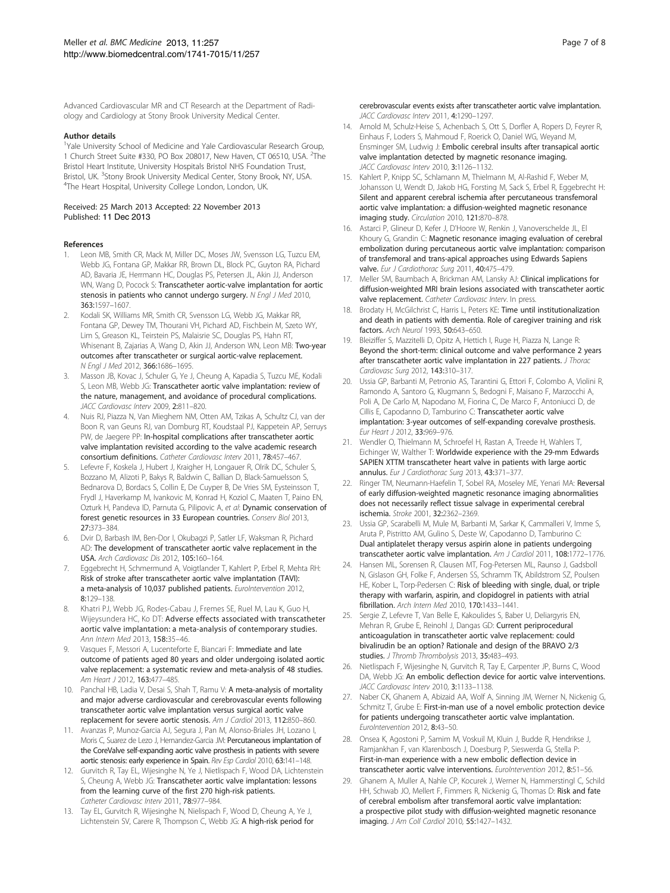<span id="page-6-0"></span>Advanced Cardiovascular MR and CT Research at the Department of Radiology and Cardiology at Stony Brook University Medical Center.

#### Author details

<sup>1</sup>Yale University School of Medicine and Yale Cardiovascular Research Group, 1 Church Street Suite #330, PO Box 208017, New Haven, CT 06510, USA. <sup>2</sup>The Bristol Heart Institute, University Hospitals Bristol NHS Foundation Trust, Bristol, UK. <sup>3</sup>Stony Brook University Medical Center, Stony Brook, NY, USA.<br><sup>4</sup>The Heart Hospital University College London, London, UK. <sup>4</sup>The Heart Hospital, University College London, London, UK.

### Received: 25 March 2013 Accepted: 22 November 2013 Published: 11 Dec 2013

#### References

- Leon MB, Smith CR, Mack M, Miller DC, Moses JW, Svensson LG, Tuzcu EM, Webb JG, Fontana GP, Makkar RR, Brown DL, Block PC, Guyton RA, Pichard AD, Bavaria JE, Herrmann HC, Douglas PS, Petersen JL, Akin JJ, Anderson WN, Wang D, Pocock S: Transcatheter aortic-valve implantation for aortic stenosis in patients who cannot undergo surgery. N Engl J Med 2010, 363:1597–1607.
- 2. Kodali SK, Williams MR, Smith CR, Svensson LG, Webb JG, Makkar RR, Fontana GP, Dewey TM, Thourani VH, Pichard AD, Fischbein M, Szeto WY, Lim S, Greason KL, Teirstein PS, Malaisrie SC, Douglas PS, Hahn RT, Whisenant B, Zajarias A, Wang D, Akin JJ, Anderson WN, Leon MB: Two-year outcomes after transcatheter or surgical aortic-valve replacement. N Engl J Med 2012, 366:1686–1695.
- 3. Masson JB, Kovac J, Schuler G, Ye J, Cheung A, Kapadia S, Tuzcu ME, Kodali S, Leon MB, Webb JG: Transcatheter aortic valve implantation: review of the nature, management, and avoidance of procedural complications. JACC Cardiovasc Interv 2009, 2:811–820.
- 4. Nuis RJ, Piazza N, Van Mieghem NM, Otten AM, Tzikas A, Schultz CJ, van der Boon R, van Geuns RJ, van Domburg RT, Koudstaal PJ, Kappetein AP, Serruys PW, de Jaegere PP: In-hospital complications after transcatheter aortic valve implantation revisited according to the valve academic research consortium definitions. Catheter Cardiovasc Interv 2011, 78:457–467.
- Lefevre F, Koskela J, Hubert J, Kraigher H, Longauer R, Olrik DC, Schuler S, Bozzano M, Alizoti P, Bakys R, Baldwin C, Ballian D, Black-Samuelsson S, Bednarova D, Bordacs S, Collin E, De Cuyper B, De Vries SM, Eysteinsson T, Frydl J, Haverkamp M, Ivankovic M, Konrad H, Koziol C, Maaten T, Paino EN, Ozturk H, Pandeva ID, Parnuta G, Pilipovic A, et al: Dynamic conservation of forest genetic resources in 33 European countries. Conserv Biol 2013, 27:373–384.
- 6. Dvir D, Barbash IM, Ben-Dor I, Okubagzi P, Satler LF, Waksman R, Pichard AD: The development of transcatheter aortic valve replacement in the USA. Arch Cardiovasc Dis 2012, 105:160–164.
- 7. Eggebrecht H, Schmermund A, Voigtlander T, Kahlert P, Erbel R, Mehta RH: Risk of stroke after transcatheter aortic valve implantation (TAVI): a meta-analysis of 10,037 published patients. EuroIntervention 2012, 8:129–138.
- 8. Khatri PJ, Webb JG, Rodes-Cabau J, Fremes SE, Ruel M, Lau K, Guo H, Wijeysundera HC, Ko DT: Adverse effects associated with transcatheter aortic valve implantation: a meta-analysis of contemporary studies. Ann Intern Med 2013, 158:35–46.
- Vasques F, Messori A, Lucenteforte E, Biancari F: Immediate and late outcome of patients aged 80 years and older undergoing isolated aortic valve replacement: a systematic review and meta-analysis of 48 studies. Am Heart J 2012, 163:477–485.
- 10. Panchal HB, Ladia V, Desai S, Shah T, Ramu V: A meta-analysis of mortality and major adverse cardiovascular and cerebrovascular events following transcatheter aortic valve implantation versus surgical aortic valve replacement for severe aortic stenosis. Am J Cardiol 2013, 112:850–860.
- 11. Avanzas P, Munoz-Garcia AJ, Segura J, Pan M, Alonso-Briales JH, Lozano I, Moris C, Suarez de Lezo J, Hernandez-Garcia JM: Percutaneous implantation of the CoreValve self-expanding aortic valve prosthesis in patients with severe aortic stenosis: early experience in Spain. Rev Esp Cardiol 2010, 63:141-148.
- 12. Gurvitch R, Tay EL, Wijesinghe N, Ye J, Nietlispach F, Wood DA, Lichtenstein S, Cheung A, Webb JG: Transcatheter aortic valve implantation: lessons from the learning curve of the first 270 high-risk patients. Catheter Cardiovasc Interv 2011, 78:977–984.
- 13. Tay EL, Gurvitch R, Wijesinghe N, Nielispach F, Wood D, Cheung A, Ye J, Lichtenstein SV, Carere R, Thompson C, Webb JG: A high-risk period for

cerebrovascular events exists after transcatheter aortic valve implantation. JACC Cardiovasc Interv 2011, 4:1290–1297.

- 14. Arnold M, Schulz-Heise S, Achenbach S, Ott S, Dorfler A, Ropers D, Feyrer R, Einhaus F, Loders S, Mahmoud F, Roerick O, Daniel WG, Weyand M, Ensminger SM, Ludwig J: Embolic cerebral insults after transapical aortic valve implantation detected by magnetic resonance imaging. JACC Cardiovasc Interv 2010, 3:1126–1132.
- 15. Kahlert P, Knipp SC, Schlamann M, Thielmann M, Al-Rashid F, Weber M, Johansson U, Wendt D, Jakob HG, Forsting M, Sack S, Erbel R, Eggebrecht H: Silent and apparent cerebral ischemia after percutaneous transfemoral aortic valve implantation: a diffusion-weighted magnetic resonance imaging study. Circulation 2010, 121:870–878.
- 16. Astarci P, Glineur D, Kefer J, D'Hoore W, Renkin J, Vanoverschelde JL, El Khoury G, Grandin C: Magnetic resonance imaging evaluation of cerebral embolization during percutaneous aortic valve implantation: comparison of transfemoral and trans-apical approaches using Edwards Sapiens valve. Eur J Cardiothorac Surg 2011, 40:475-479.
- 17. Meller SM, Baumbach A, Brickman AM, Lansky AJ: Clinical implications for diffusion-weighted MRI brain lesions associated with transcatheter aortic valve replacement. Catheter Cardiovasc Interv. In press.
- 18. Brodaty H, McGilchrist C, Harris L, Peters KE: Time until institutionalization and death in patients with dementia. Role of caregiver training and risk factors. Arch Neurol 1993, 50:643–650.
- 19. Bleiziffer S, Mazzitelli D, Opitz A, Hettich I, Ruge H, Piazza N, Lange R: Beyond the short-term: clinical outcome and valve performance 2 years after transcatheter aortic valve implantation in 227 patients. J Thorac Cardiovasc Surg 2012, 143:310–317.
- 20. Ussia GP, Barbanti M, Petronio AS, Tarantini G, Ettori F, Colombo A, Violini R, Ramondo A, Santoro G, Klugmann S, Bedogni F, Maisano F, Marzocchi A, Poli A, De Carlo M, Napodano M, Fiorina C, De Marco F, Antoniucci D, de Cillis E, Capodanno D, Tamburino C: Transcatheter aortic valve implantation: 3-year outcomes of self-expanding corevalve prosthesis. Eur Heart J 2012, 33:969–976.
- 21. Wendler O, Thielmann M, Schroefel H, Rastan A, Treede H, Wahlers T, Eichinger W, Walther T: Worldwide experience with the 29-mm Edwards SAPIEN XTTM transcatheter heart valve in patients with large aortic annulus. Eur J Cardiothorac Surg 2013, 43:371–377.
- 22. Ringer TM, Neumann-Haefelin T, Sobel RA, Moseley ME, Yenari MA: Reversal of early diffusion-weighted magnetic resonance imaging abnormalities does not necessarily reflect tissue salvage in experimental cerebral ischemia. Stroke 2001, 32:2362–2369.
- 23. Ussia GP, Scarabelli M, Mule M, Barbanti M, Sarkar K, Cammalleri V, Imme S, Aruta P, Pistritto AM, Gulino S, Deste W, Capodanno D, Tamburino C: Dual antiplatelet therapy versus aspirin alone in patients undergoing transcatheter aortic valve implantation. Am J Cardiol 2011, 108:1772–1776.
- 24. Hansen ML, Sorensen R, Clausen MT, Fog-Petersen ML, Raunso J, Gadsboll N, Gislason GH, Folke F, Andersen SS, Schramm TK, Abildstrom SZ, Poulsen HE, Kober L, Torp-Pedersen C: Risk of bleeding with single, dual, or triple therapy with warfarin, aspirin, and clopidogrel in patients with atrial fibrillation. Arch Intern Med 2010, 170:1433–1441.
- 25. Sergie Z, Lefevre T, Van Belle E, Kakoulides S, Baber U, Deliargyris EN, Mehran R, Grube E, Reinohl J, Dangas GD: Current periprocedural anticoagulation in transcatheter aortic valve replacement: could bivalirudin be an option? Rationale and design of the BRAVO 2/3 studies. J Thromb Thrombolysis 2013, 35:483-493.
- 26. Nietlispach F, Wijesinghe N, Gurvitch R, Tay E, Carpenter JP, Burns C, Wood DA, Webb JG: An embolic deflection device for aortic valve interventions. JACC Cardiovasc Interv 2010, 3:1133–1138.
- 27. Naber CK, Ghanem A, Abizaid AA, Wolf A, Sinning JM, Werner N, Nickenig G, Schmitz T, Grube E: First-in-man use of a novel embolic protection device for patients undergoing transcatheter aortic valve implantation. EuroIntervention 2012, 8:43–50.
- 28. Onsea K, Agostoni P, Samim M, Voskuil M, Kluin J, Budde R, Hendrikse J, Ramjankhan F, van Klarenbosch J, Doesburg P, Sieswerda G, Stella P: First-in-man experience with a new embolic deflection device in transcatheter aortic valve interventions. EuroIntervention 2012, 8:51-56.
- 29. Ghanem A, Muller A, Nahle CP, Kocurek J, Werner N, Hammerstingl C, Schild HH, Schwab JO, Mellert F, Fimmers R, Nickenig G, Thomas D: Risk and fate of cerebral embolism after transfemoral aortic valve implantation: a prospective pilot study with diffusion-weighted magnetic resonance imaging. J Am Coll Cardiol 2010, 55:1427–1432.